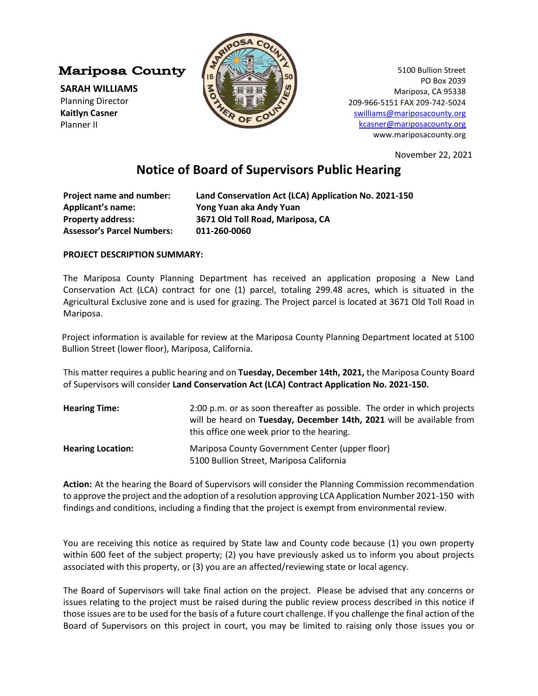**Mariposa County** 

**SARAH WILLIAMS** Planning Director **Kaitlyn Casner**  Planner II



5100 Bullion Street PO Box 2039 Mariposa, CA 95338 209-966-5151 FAX 209-742-5024 [swilliams@mariposacounty.org](mailto:swilliams@mariposacounty.org) [kcasner@mariposacounty.org](mailto:kcasner@mariposacounty.org) www.mariposacounty.org

November 22, 2021

## **Notice of Board of Supervisors Public Hearing**

| Project name and number:          | Land Conservation Act (LCA) Application No. 2021-150 |
|-----------------------------------|------------------------------------------------------|
| <b>Applicant's name:</b>          | Yong Yuan aka Andy Yuan                              |
| <b>Property address:</b>          | 3671 Old Toll Road, Mariposa, CA                     |
| <b>Assessor's Parcel Numbers:</b> | 011-260-0060                                         |

## **PROJECT DESCRIPTION SUMMARY:**

The Mariposa County Planning Department has received an application proposing a New Land Conservation Act (LCA) contract for one (1) parcel, totaling 299.48 acres, which is situated in the Agricultural Exclusive zone and is used for grazing. The Project parcel is located at 3671 Old Toll Road in Mariposa.

Project information is available for review at the Mariposa County Planning Department located at 5100 Bullion Street (lower floor), Mariposa, California.

This matter requires a public hearing and on **Tuesday, December 14th, 2021,** the Mariposa County Board of Supervisors will consider **Land Conservation Act (LCA) Contract Application No. 2021-150.**

| <b>Hearing Time:</b>     | 2:00 p.m. or as soon thereafter as possible. The order in which projects                    |
|--------------------------|---------------------------------------------------------------------------------------------|
|                          | will be heard on Tuesday, December 14th, 2021 will be available from                        |
|                          | this office one week prior to the hearing.                                                  |
| <b>Hearing Location:</b> | Mariposa County Government Center (upper floor)<br>5100 Bullion Street, Mariposa California |

**Action:** At the hearing the Board of Supervisors will consider the Planning Commission recommendation to approve the project and the adoption of a resolution approving LCA Application Number 2021-150 with findings and conditions, including a finding that the project is exempt from environmental review.

You are receiving this notice as required by State law and County code because (1) you own property within 600 feet of the subject property; (2) you have previously asked us to inform you about projects associated with this property, or (3) you are an affected/reviewing state or local agency.

The Board of Supervisors will take final action on the project. Please be advised that any concerns or issues relating to the project must be raised during the public review process described in this notice if those issues are to be used for the basis of a future court challenge. If you challenge the final action of the Board of Supervisors on this project in court, you may be limited to raising only those issues you or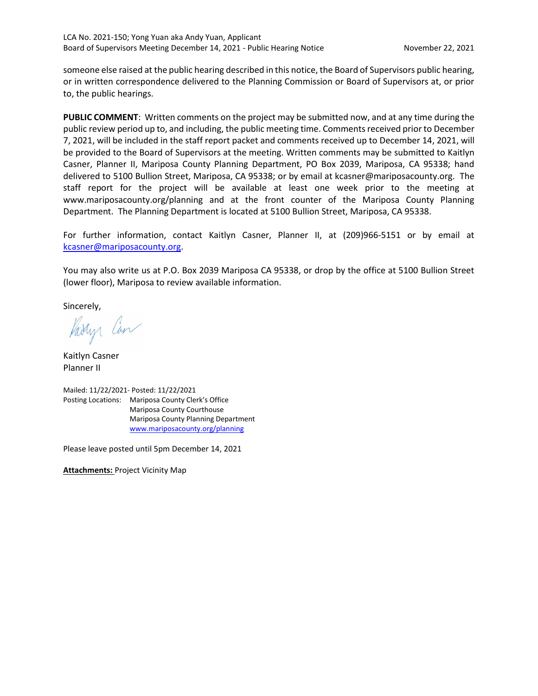someone else raised at the public hearing described in this notice, the Board of Supervisors public hearing, or in written correspondence delivered to the Planning Commission or Board of Supervisors at, or prior to, the public hearings.

**PUBLIC COMMENT**: Written comments on the project may be submitted now, and at any time during the public review period up to, and including, the public meeting time. Comments received prior to December 7, 2021, will be included in the staff report packet and comments received up to December 14, 2021, will be provided to the Board of Supervisors at the meeting. Written comments may be submitted to Kaitlyn Casner, Planner II, Mariposa County Planning Department, PO Box 2039, Mariposa, CA 95338; hand delivered to 5100 Bullion Street, Mariposa, CA 95338; or by email at kcasner@mariposacounty.org. The staff report for the project will be available at least one week prior to the meeting at www.mariposacounty.org/planning and at the front counter of the Mariposa County Planning Department. The Planning Department is located at 5100 Bullion Street, Mariposa, CA 95338.

For further information, contact Kaitlyn Casner, Planner II, at (209)966-5151 or by email at [kcasner@mariposacounty.org.](mailto:kcasner@mariposacounty.org)

You may also write us at P.O. Box 2039 Mariposa CA 95338, or drop by the office at 5100 Bullion Street (lower floor), Mariposa to review available information.

Sincerely,

Partyr Can

Kaitlyn Casner Planner II



Please leave posted until 5pm December 14, 2021

**Attachments:** Project Vicinity Map